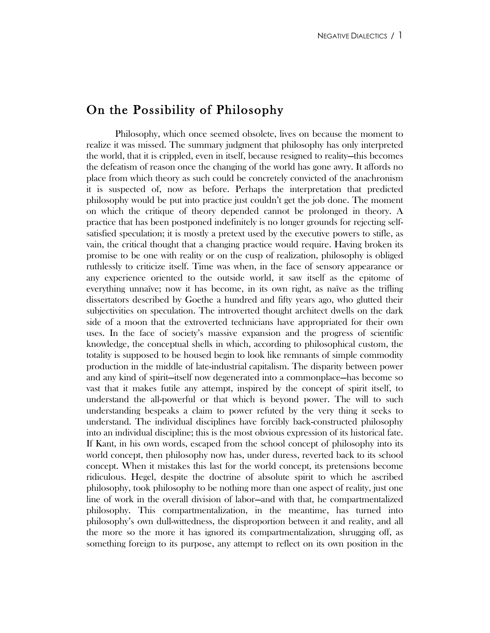## On the Possibility of Philosophy

 Philosophy, which once seemed obsolete, lives on because the moment to realize it was missed. The summary judgment that philosophy has only interpreted the world, that it is crippled, even in itself, because resigned to reality—this becomes the defeatism of reason once the changing of the world has gone awry. It affords no place from which theory as such could be concretely convicted of the anachronism it is suspected of, now as before. Perhaps the interpretation that predicted philosophy would be put into practice just couldn't get the job done. The moment on which the critique of theory depended cannot be prolonged in theory. A practice that has been postponed indefinitely is no longer grounds for rejecting selfsatisfied speculation; it is mostly a pretext used by the executive powers to stifle, as vain, the critical thought that a changing practice would require. Having broken its promise to be one with reality or on the cusp of realization, philosophy is obliged ruthlessly to criticize itself. Time was when, in the face of sensory appearance or any experience oriented to the outside world, it saw itself as the epitome of everything unnaïve; now it has become, in its own right, as naïve as the trifling dissertators described by Goethe a hundred and fifty years ago, who glutted their subjectivities on speculation. The introverted thought architect dwells on the dark side of a moon that the extroverted technicians have appropriated for their own uses. In the face of society's massive expansion and the progress of scientific knowledge, the conceptual shells in which, according to philosophical custom, the totality is supposed to be housed begin to look like remnants of simple commodity production in the middle of late-industrial capitalism. The disparity between power and any kind of spirit—itself now degenerated into a commonplace—has become so vast that it makes futile any attempt, inspired by the concept of spirit itself, to understand the all-powerful or that which is beyond power. The will to such understanding bespeaks a claim to power refuted by the very thing it seeks to understand. The individual disciplines have forcibly back-constructed philosophy into an individual discipline; this is the most obvious expression of its historical fate. If Kant, in his own words, escaped from the school concept of philosophy into its world concept, then philosophy now has, under duress, reverted back to its school concept. When it mistakes this last for the world concept, its pretensions become ridiculous. Hegel, despite the doctrine of absolute spirit to which he ascribed philosophy, took philosophy to be nothing more than one aspect of reality, just one line of work in the overall division of labor—and with that, he compartmentalized philosophy. This compartmentalization, in the meantime, has turned into philosophy's own dull-wittedness, the disproportion between it and reality, and all the more so the more it has ignored its compartmentalization, shrugging off, as something foreign to its purpose, any attempt to reflect on its own position in the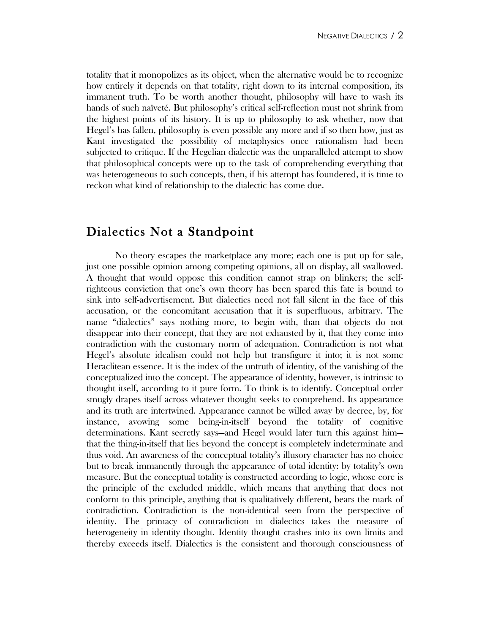totality that it monopolizes as its object, when the alternative would be to recognize how entirely it depends on that totality, right down to its internal composition, its immanent truth. To be worth another thought, philosophy will have to wash its hands of such naïveté. But philosophy's critical self-reflection must not shrink from the highest points of its history. It is up to philosophy to ask whether, now that Hegel's has fallen, philosophy is even possible any more and if so then how, just as Kant investigated the possibility of metaphysics once rationalism had been subjected to critique. If the Hegelian dialectic was the unparalleled attempt to show that philosophical concepts were up to the task of comprehending everything that was heterogeneous to such concepts, then, if his attempt has foundered, it is time to reckon what kind of relationship to the dialectic has come due.

# Dialectics Not a Standpoint

No theory escapes the marketplace any more; each one is put up for sale, just one possible opinion among competing opinions, all on display, all swallowed. A thought that would oppose this condition cannot strap on blinkers; the selfrighteous conviction that one's own theory has been spared this fate is bound to sink into self-advertisement. But dialectics need not fall silent in the face of this accusation, or the concomitant accusation that it is superfluous, arbitrary. The name "dialectics" says nothing more, to begin with, than that objects do not disappear into their concept, that they are not exhausted by it, that they come into contradiction with the customary norm of adequation. Contradiction is not what Hegel's absolute idealism could not help but transfigure it into; it is not some Heraclitean essence. It is the index of the untruth of identity, of the vanishing of the conceptualized into the concept. The appearance of identity, however, is intrinsic to thought itself, according to it pure form. To think is to identify. Conceptual order smugly drapes itself across whatever thought seeks to comprehend. Its appearance and its truth are intertwined. Appearance cannot be willed away by decree, by, for instance, avowing some being-in-itself beyond the totality of cognitive determinations. Kant secretly says—and Hegel would later turn this against him that the thing-in-itself that lies beyond the concept is completely indeterminate and thus void. An awareness of the conceptual totality's illusory character has no choice but to break immanently through the appearance of total identity: by totality's own measure. But the conceptual totality is constructed according to logic, whose core is the principle of the excluded middle, which means that anything that does not conform to this principle, anything that is qualitatively different, bears the mark of contradiction. Contradiction is the non-identical seen from the perspective of identity. The primacy of contradiction in dialectics takes the measure of heterogeneity in identity thought. Identity thought crashes into its own limits and thereby exceeds itself. Dialectics is the consistent and thorough consciousness of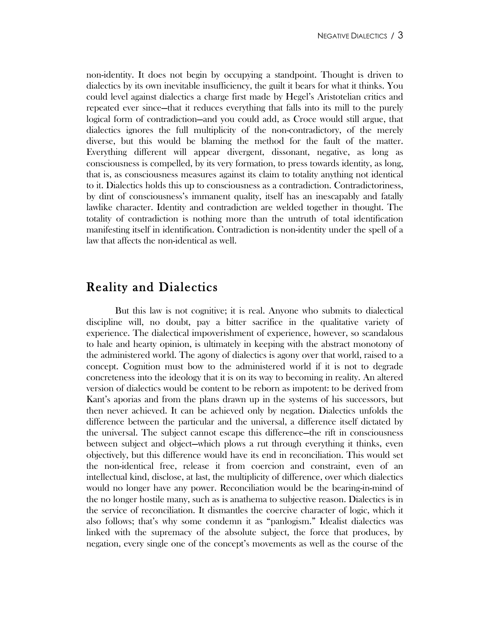non-identity. It does not begin by occupying a standpoint. Thought is driven to dialectics by its own inevitable insufficiency, the guilt it bears for what it thinks. You could level against dialectics a charge first made by Hegel's Aristotelian critics and repeated ever since—that it reduces everything that falls into its mill to the purely logical form of contradiction—and you could add, as Croce would still argue, that dialectics ignores the full multiplicity of the non-contradictory, of the merely diverse, but this would be blaming the method for the fault of the matter. Everything different will appear divergent, dissonant, negative, as long as consciousness is compelled, by its very formation, to press towards identity, as long, that is, as consciousness measures against its claim to totality anything not identical to it. Dialectics holds this up to consciousness as a contradiction. Contradictoriness, by dint of consciousness's immanent quality, itself has an inescapably and fatally lawlike character. Identity and contradiction are welded together in thought. The totality of contradiction is nothing more than the untruth of total identification manifesting itself in identification. Contradiction is non-identity under the spell of a law that affects the non-identical as well.

## Reality and Dialectics

 But this law is not cognitive; it is real. Anyone who submits to dialectical discipline will, no doubt, pay a bitter sacrifice in the qualitative variety of experience. The dialectical impoverishment of experience, however, so scandalous to hale and hearty opinion, is ultimately in keeping with the abstract monotony of the administered world. The agony of dialectics is agony over that world, raised to a concept. Cognition must bow to the administered world if it is not to degrade concreteness into the ideology that it is on its way to becoming in reality. An altered version of dialectics would be content to be reborn as impotent: to be derived from Kant's aporias and from the plans drawn up in the systems of his successors, but then never achieved. It can be achieved only by negation. Dialectics unfolds the difference between the particular and the universal, a difference itself dictated by the universal. The subject cannot escape this difference—the rift in consciousness between subject and object—which plows a rut through everything it thinks, even objectively, but this difference would have its end in reconciliation. This would set the non-identical free, release it from coercion and constraint, even of an intellectual kind, disclose, at last, the multiplicity of difference, over which dialectics would no longer have any power. Reconciliation would be the bearing-in-mind of the no longer hostile many, such as is anathema to subjective reason. Dialectics is in the service of reconciliation. It dismantles the coercive character of logic, which it also follows; that's why some condemn it as "panlogism." Idealist dialectics was linked with the supremacy of the absolute subject, the force that produces, by negation, every single one of the concept's movements as well as the course of the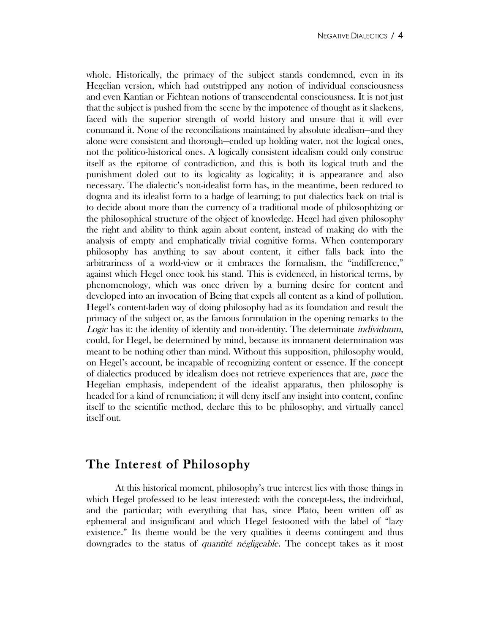whole. Historically, the primacy of the subject stands condemned, even in its Hegelian version, which had outstripped any notion of individual consciousness and even Kantian or Fichtean notions of transcendental consciousness. It is not just that the subject is pushed from the scene by the impotence of thought as it slackens, faced with the superior strength of world history and unsure that it will ever command it. None of the reconciliations maintained by absolute idealism—and they alone were consistent and thorough—ended up holding water, not the logical ones, not the politico-historical ones. A logically consistent idealism could only construe itself as the epitome of contradiction, and this is both its logical truth and the punishment doled out to its logicality as logicality; it is appearance and also necessary. The dialectic's non-idealist form has, in the meantime, been reduced to dogma and its idealist form to a badge of learning; to put dialectics back on trial is to decide about more than the currency of a traditional mode of philosophizing or the philosophical structure of the object of knowledge. Hegel had given philosophy the right and ability to think again about content, instead of making do with the analysis of empty and emphatically trivial cognitive forms. When contemporary philosophy has anything to say about content, it either falls back into the arbitrariness of a world-view or it embraces the formalism, the "indifference," against which Hegel once took his stand. This is evidenced, in historical terms, by phenomenology, which was once driven by a burning desire for content and developed into an invocation of Being that expels all content as a kind of pollution. Hegel's content-laden way of doing philosophy had as its foundation and result the primacy of the subject or, as the famous formulation in the opening remarks to the Logic has it: the identity of identity and non-identity. The determinate *individuum*, could, for Hegel, be determined by mind, because its immanent determination was meant to be nothing other than mind. Without this supposition, philosophy would, on Hegel's account, be incapable of recognizing content or essence. If the concept of dialectics produced by idealism does not retrieve experiences that are, pace the Hegelian emphasis, independent of the idealist apparatus, then philosophy is headed for a kind of renunciation; it will deny itself any insight into content, confine itself to the scientific method, declare this to be philosophy, and virtually cancel itself out.

# The Interest of Philosophy

At this historical moment, philosophy's true interest lies with those things in which Hegel professed to be least interested: with the concept-less, the individual, and the particular; with everything that has, since Plato, been written off as ephemeral and insignificant and which Hegel festooned with the label of "lazy existence." Its theme would be the very qualities it deems contingent and thus downgrades to the status of quantité négligeable. The concept takes as it most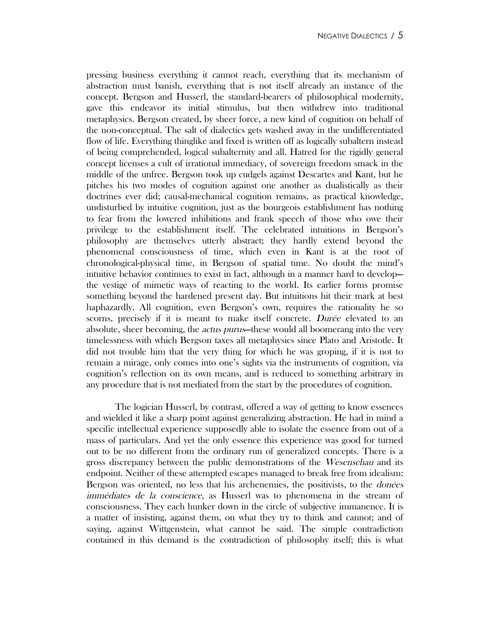pressing business everything it cannot reach, everything that its mechanism of abstraction must banish, everything that is not itself already an instance of the concept. Bergson and Husserl, the standard-bearers of philosophical modernity, gave this endeavor its initial stimulus, but then withdrew into traditional metaphysics. Bergson created, by sheer force, a new kind of cognition on behalf of the non-conceptual. The salt of dialectics gets washed away in the undifferentiated flow of life. Everything thinglike and fixed is written off as logically subaltern instead of being comprehended, logical subalternity and all. Hatred for the rigidly general concept licenses a cult of irrational immediacy, of sovereign freedom smack in the middle of the unfree. Bergson took up cudgels against Descartes and Kant, but he pitches his two modes of cognition against one another as dualistically as their doctrines ever did; causal-mechanical cognition remains, as practical knowledge, undisturbed by intuitive cognition, just as the bourgeois establishment has nothing to fear from the lowered inhibitions and frank speech of those who owe their privilege to the establishment itself. The celebrated intuitions in Bergson's philosophy are themselves utterly abstract; they hardly extend beyond the phenomenal consciousness of time, which even in Kant is at the root of chronological-physical time, in Bergson of spatial time. No doubt the mind's intuitive behavior continues to exist in fact, although in a manner hard to develop the vestige of mimetic ways of reacting to the world. Its earlier forms promise something beyond the hardened present day. But intuitions hit their mark at best haphazardly. All cognition, even Bergson's own, requires the rationality he so scorns, precisely if it is meant to make itself concrete. Durée elevated to an absolute, sheer becoming, the *actus purus*—these would all boomerang into the very timelessness with which Bergson taxes all metaphysics since Plato and Aristotle. It did not trouble him that the very thing for which he was groping, if it is not to remain a mirage, only comes into one's sights via the instruments of cognition, via cognition's reflection on its own means, and is reduced to something arbitrary in any procedure that is not mediated from the start by the procedures of cognition.

The logician Husserl, by contrast, offered a way of getting to know essences and wielded it like a sharp point against generalizing abstraction. He had in mind a specific intellectual experience supposedly able to isolate the essence from out of a mass of particulars. And yet the only essence this experience was good for turned out to be no different from the ordinary run of generalized concepts. There is a gross discrepancy between the public demonstrations of the Wesenschau and its endpoint. Neither of these attempted escapes managed to break free from idealism: Bergson was oriented, no less that his archenemies, the positivists, to the *donées* immédiates de la conscience, as Husserl was to phenomena in the stream of consciousness. They each hunker down in the circle of subjective immanence. It is a matter of insisting, against them, on what they try to think and cannot; and of saying, against Wittgenstein, what cannot be said. The simple contradiction contained in this demand is the contradiction of philosophy itself; this is what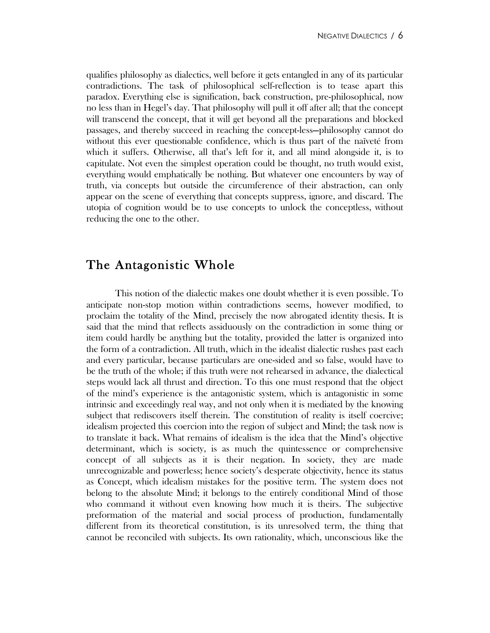qualifies philosophy as dialectics, well before it gets entangled in any of its particular contradictions. The task of philosophical self-reflection is to tease apart this paradox. Everything else is signification, back construction, pre-philosophical, now no less than in Hegel's day. That philosophy will pull it off after all; that the concept will transcend the concept, that it will get beyond all the preparations and blocked passages, and thereby succeed in reaching the concept-less—philosophy cannot do without this ever questionable confidence, which is thus part of the naïveté from which it suffers. Otherwise, all that's left for it, and all mind alongside it, is to capitulate. Not even the simplest operation could be thought, no truth would exist, everything would emphatically be nothing. But whatever one encounters by way of truth, via concepts but outside the circumference of their abstraction, can only appear on the scene of everything that concepts suppress, ignore, and discard. The utopia of cognition would be to use concepts to unlock the conceptless, without reducing the one to the other.

## The Antagonistic Whole

This notion of the dialectic makes one doubt whether it is even possible. To anticipate non-stop motion within contradictions seems, however modified, to proclaim the totality of the Mind, precisely the now abrogated identity thesis. It is said that the mind that reflects assiduously on the contradiction in some thing or item could hardly be anything but the totality, provided the latter is organized into the form of a contradiction. All truth, which in the idealist dialectic rushes past each and every particular, because particulars are one-sided and so false, would have to be the truth of the whole; if this truth were not rehearsed in advance, the dialectical steps would lack all thrust and direction. To this one must respond that the object of the mind's experience is the antagonistic system, which is antagonistic in some intrinsic and exceedingly real way, and not only when it is mediated by the knowing subject that rediscovers itself therein. The constitution of reality is itself coercive; idealism projected this coercion into the region of subject and Mind; the task now is to translate it back. What remains of idealism is the idea that the Mind's objective determinant, which is society, is as much the quintessence or comprehensive concept of all subjects as it is their negation. In society, they are made unrecognizable and powerless; hence society's desperate objectivity, hence its status as Concept, which idealism mistakes for the positive term. The system does not belong to the absolute Mind; it belongs to the entirely conditional Mind of those who command it without even knowing how much it is theirs. The subjective preformation of the material and social process of production, fundamentally different from its theoretical constitution, is its unresolved term, the thing that cannot be reconciled with subjects. Its own rationality, which, unconscious like the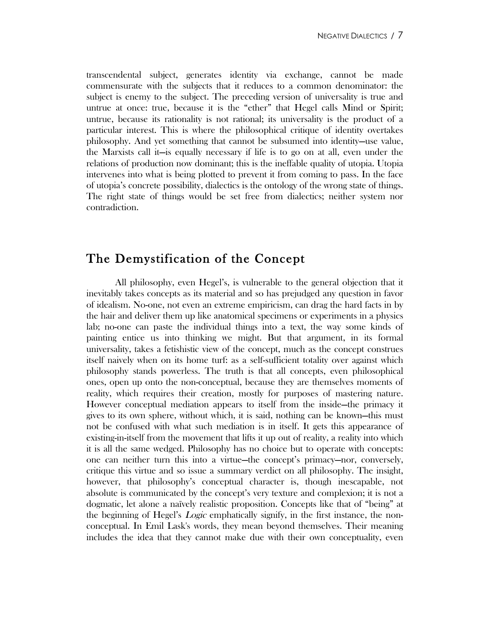transcendental subject, generates identity via exchange, cannot be made commensurate with the subjects that it reduces to a common denominator: the subject is enemy to the subject. The preceding version of universality is true and untrue at once: true, because it is the "ether" that Hegel calls Mind or Spirit; untrue, because its rationality is not rational; its universality is the product of a particular interest. This is where the philosophical critique of identity overtakes philosophy. And yet something that cannot be subsumed into identity—use value, the Marxists call it—is equally necessary if life is to go on at all, even under the relations of production now dominant; this is the ineffable quality of utopia. Utopia intervenes into what is being plotted to prevent it from coming to pass. In the face of utopia's concrete possibility, dialectics is the ontology of the wrong state of things. The right state of things would be set free from dialectics; neither system nor contradiction.

# The Demystification of the Concept

All philosophy, even Hegel's, is vulnerable to the general objection that it inevitably takes concepts as its material and so has prejudged any question in favor of idealism. No-one, not even an extreme empiricism, can drag the hard facts in by the hair and deliver them up like anatomical specimens or experiments in a physics lab; no-one can paste the individual things into a text, the way some kinds of painting entice us into thinking we might. But that argument, in its formal universality, takes a fetishistic view of the concept, much as the concept construes itself naively when on its home turf: as a self-sufficient totality over against which philosophy stands powerless. The truth is that all concepts, even philosophical ones, open up onto the non-conceptual, because they are themselves moments of reality, which requires their creation, mostly for purposes of mastering nature. However conceptual mediation appears to itself from the inside—the primacy it gives to its own sphere, without which, it is said, nothing can be known—this must not be confused with what such mediation is in itself. It gets this appearance of existing-in-itself from the movement that lifts it up out of reality, a reality into which it is all the same wedged. Philosophy has no choice but to operate with concepts: one can neither turn this into a virtue—the concept's primacy—nor, conversely, critique this virtue and so issue a summary verdict on all philosophy. The insight, however, that philosophy's conceptual character is, though inescapable, not absolute is communicated by the concept's very texture and complexion; it is not a dogmatic, let alone a naïvely realistic proposition. Concepts like that of "being" at the beginning of Hegel's *Logic* emphatically signify, in the first instance, the nonconceptual. In Emil Lask's words, they mean beyond themselves. Their meaning includes the idea that they cannot make due with their own conceptuality, even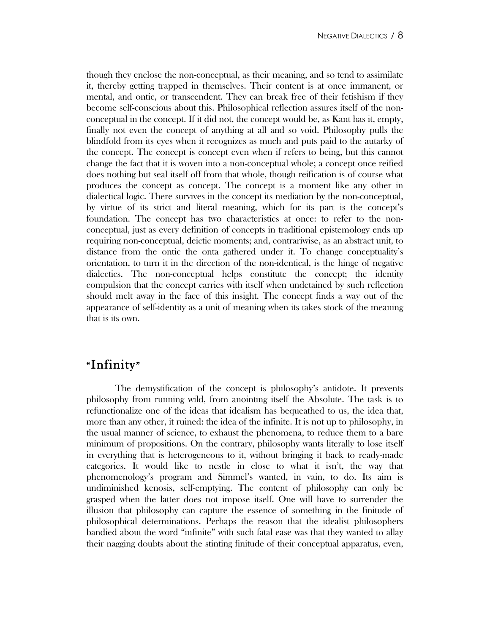though they enclose the non-conceptual, as their meaning, and so tend to assimilate it, thereby getting trapped in themselves. Their content is at once immanent, or mental, and ontic, or transcendent. They can break free of their fetishism if they become self-conscious about this. Philosophical reflection assures itself of the nonconceptual in the concept. If it did not, the concept would be, as Kant has it, empty, finally not even the concept of anything at all and so void. Philosophy pulls the blindfold from its eyes when it recognizes as much and puts paid to the autarky of the concept. The concept is concept even when if refers to being, but this cannot change the fact that it is woven into a non-conceptual whole; a concept once reified does nothing but seal itself off from that whole, though reification is of course what produces the concept as concept. The concept is a moment like any other in dialectical logic. There survives in the concept its mediation by the non-conceptual, by virtue of its strict and literal meaning, which for its part is the concept's foundation. The concept has two characteristics at once: to refer to the nonconceptual, just as every definition of concepts in traditional epistemology ends up requiring non-conceptual, deictic moments; and, contrariwise, as an abstract unit, to distance from the ontic the onta gathered under it. To change conceptuality's orientation, to turn it in the direction of the non-identical, is the hinge of negative dialectics. The non-conceptual helps constitute the concept; the identity compulsion that the concept carries with itself when undetained by such reflection should melt away in the face of this insight. The concept finds a way out of the appearance of self-identity as a unit of meaning when its takes stock of the meaning that is its own.

# "Infinity"

The demystification of the concept is philosophy's antidote. It prevents philosophy from running wild, from anointing itself the Absolute. The task is to refunctionalize one of the ideas that idealism has bequeathed to us, the idea that, more than any other, it ruined: the idea of the infinite. It is not up to philosophy, in the usual manner of science, to exhaust the phenomena, to reduce them to a bare minimum of propositions. On the contrary, philosophy wants literally to lose itself in everything that is heterogeneous to it, without bringing it back to ready-made categories. It would like to nestle in close to what it isn't, the way that phenomenology's program and Simmel's wanted, in vain, to do. Its aim is undiminished kenosis, self-emptying. The content of philosophy can only be grasped when the latter does not impose itself. One will have to surrender the illusion that philosophy can capture the essence of something in the finitude of philosophical determinations. Perhaps the reason that the idealist philosophers bandied about the word "infinite" with such fatal ease was that they wanted to allay their nagging doubts about the stinting finitude of their conceptual apparatus, even,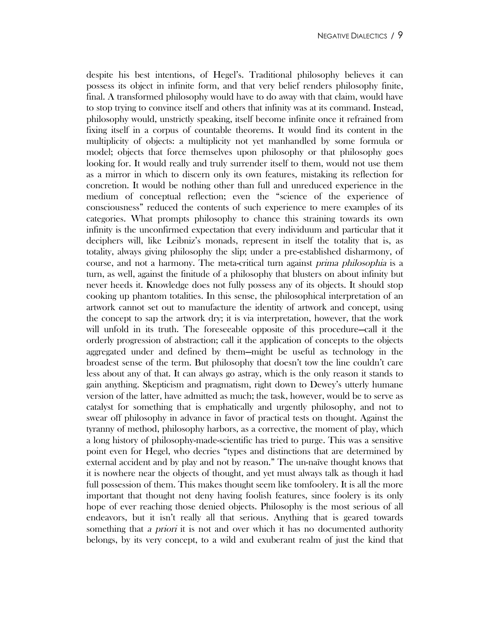despite his best intentions, of Hegel's. Traditional philosophy believes it can possess its object in infinite form, and that very belief renders philosophy finite, final. A transformed philosophy would have to do away with that claim, would have to stop trying to convince itself and others that infinity was at its command. Instead, philosophy would, unstrictly speaking, itself become infinite once it refrained from fixing itself in a corpus of countable theorems. It would find its content in the multiplicity of objects: a multiplicity not yet manhandled by some formula or model; objects that force themselves upon philosophy or that philosophy goes looking for. It would really and truly surrender itself to them, would not use them as a mirror in which to discern only its own features, mistaking its reflection for concretion. It would be nothing other than full and unreduced experience in the medium of conceptual reflection; even the "science of the experience of consciousness" reduced the contents of such experience to mere examples of its categories. What prompts philosophy to chance this straining towards its own infinity is the unconfirmed expectation that every individuum and particular that it deciphers will, like Leibniz's monads, represent in itself the totality that is, as totality, always giving philosophy the slip; under a pre-established disharmony, of course, and not a harmony. The meta-critical turn against prima philosophia is a turn, as well, against the finitude of a philosophy that blusters on about infinity but never heeds it. Knowledge does not fully possess any of its objects. It should stop cooking up phantom totalities. In this sense, the philosophical interpretation of an artwork cannot set out to manufacture the identity of artwork and concept, using the concept to sap the artwork dry; it is via interpretation, however, that the work will unfold in its truth. The foreseeable opposite of this procedure—call it the orderly progression of abstraction; call it the application of concepts to the objects aggregated under and defined by them—might be useful as technology in the broadest sense of the term. But philosophy that doesn't tow the line couldn't care less about any of that. It can always go astray, which is the only reason it stands to gain anything. Skepticism and pragmatism, right down to Dewey's utterly humane version of the latter, have admitted as much; the task, however, would be to serve as catalyst for something that is emphatically and urgently philosophy, and not to swear off philosophy in advance in favor of practical tests on thought. Against the tyranny of method, philosophy harbors, as a corrective, the moment of play, which a long history of philosophy-made-scientific has tried to purge. This was a sensitive point even for Hegel, who decries "types and distinctions that are determined by external accident and by play and not by reason." The un-naïve thought knows that it is nowhere near the objects of thought, and yet must always talk as though it had full possession of them. This makes thought seem like tomfoolery. It is all the more important that thought not deny having foolish features, since foolery is its only hope of ever reaching those denied objects. Philosophy is the most serious of all endeavors, but it isn't really all that serious. Anything that is geared towards something that a priori it is not and over which it has no documented authority belongs, by its very concept, to a wild and exuberant realm of just the kind that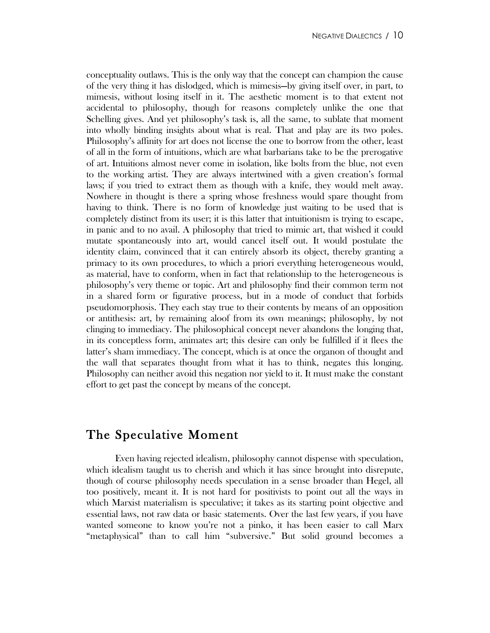conceptuality outlaws. This is the only way that the concept can champion the cause of the very thing it has dislodged, which is mimesis—by giving itself over, in part, to mimesis, without losing itself in it. The aesthetic moment is to that extent not accidental to philosophy, though for reasons completely unlike the one that Schelling gives. And yet philosophy's task is, all the same, to sublate that moment into wholly binding insights about what is real. That and play are its two poles. Philosophy's affinity for art does not license the one to borrow from the other, least of all in the form of intuitions, which are what barbarians take to be the prerogative of art. Intuitions almost never come in isolation, like bolts from the blue, not even to the working artist. They are always intertwined with a given creation's formal laws; if you tried to extract them as though with a knife, they would melt away. Nowhere in thought is there a spring whose freshness would spare thought from having to think. There is no form of knowledge just waiting to be used that is completely distinct from its user; it is this latter that intuitionism is trying to escape, in panic and to no avail. A philosophy that tried to mimic art, that wished it could mutate spontaneously into art, would cancel itself out. It would postulate the identity claim, convinced that it can entirely absorb its object, thereby granting a primacy to its own procedures, to which a priori everything heterogeneous would, as material, have to conform, when in fact that relationship to the heterogeneous is philosophy's very theme or topic. Art and philosophy find their common term not in a shared form or figurative process, but in a mode of conduct that forbids pseudomorphosis. They each stay true to their contents by means of an opposition or antithesis: art, by remaining aloof from its own meanings; philosophy, by not clinging to immediacy. The philosophical concept never abandons the longing that, in its conceptless form, animates art; this desire can only be fulfilled if it flees the latter's sham immediacy. The concept, which is at once the organon of thought and the wall that separates thought from what it has to think, negates this longing. Philosophy can neither avoid this negation nor yield to it. It must make the constant effort to get past the concept by means of the concept.

#### The Speculative Moment

Even having rejected idealism, philosophy cannot dispense with speculation, which idealism taught us to cherish and which it has since brought into disrepute, though of course philosophy needs speculation in a sense broader than Hegel, all too positively, meant it. It is not hard for positivists to point out all the ways in which Marxist materialism is speculative; it takes as its starting point objective and essential laws, not raw data or basic statements. Over the last few years, if you have wanted someone to know you're not a pinko, it has been easier to call Marx "metaphysical" than to call him "subversive." But solid ground becomes a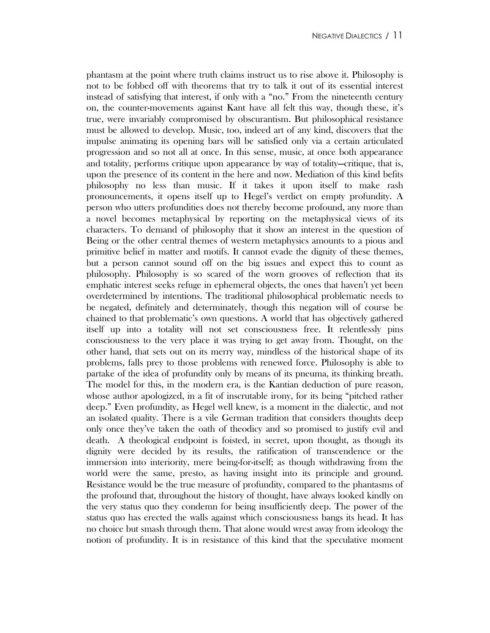phantasm at the point where truth claims instruct us to rise above it. Philosophy is not to be fobbed off with theorems that try to talk it out of its essential interest instead of satisfying that interest, if only with a "no." From the nineteenth century on, the counter-movements against Kant have all felt this way, though these, it's true, were invariably compromised by obscurantism. But philosophical resistance must be allowed to develop. Music, too, indeed art of any kind, discovers that the impulse animating its opening bars will be satisfied only via a certain articulated progression and so not all at once. In this sense, music, at once both appearance and totality, performs critique upon appearance by way of totality—critique, that is, upon the presence of its content in the here and now. Mediation of this kind befits philosophy no less than music. If it takes it upon itself to make rash pronouncements, it opens itself up to Hegel's verdict on empty profundity. A person who utters profundities does not thereby become profound, any more than a novel becomes metaphysical by reporting on the metaphysical views of its characters. To demand of philosophy that it show an interest in the question of Being or the other central themes of western metaphysics amounts to a pious and primitive belief in matter and motifs. It cannot evade the dignity of these themes, but a person cannot sound off on the big issues and expect this to count as philosophy. Philosophy is so scared of the worn grooves of reflection that its emphatic interest seeks refuge in ephemeral objects, the ones that haven't yet been overdetermined by intentions. The traditional philosophical problematic needs to be negated, definitely and determinately, though this negation will of course be chained to that problematic's own questions. A world that has objectively gathered itself up into a totality will not set consciousness free. It relentlessly pins consciousness to the very place it was trying to get away from. Thought, on the other hand, that sets out on its merry way, mindless of the historical shape of its problems, falls prey to those problems with renewed force. Philosophy is able to partake of the idea of profundity only by means of its pneuma, its thinking breath. The model for this, in the modern era, is the Kantian deduction of pure reason, whose author apologized, in a fit of inscrutable irony, for its being "pitched rather deep." Even profundity, as Hegel well knew, is a moment in the dialectic, and not an isolated quality. There is a vile German tradition that considers thoughts deep only once they've taken the oath of theodicy and so promised to justify evil and death. A theological endpoint is foisted, in secret, upon thought, as though its dignity were decided by its results, the ratification of transcendence or the immersion into interiority, mere being-for-itself; as though withdrawing from the world were the same, presto, as having insight into its principle and ground. Resistance would be the true measure of profundity, compared to the phantasms of the profound that, throughout the history of thought, have always looked kindly on the very status quo they condemn for being insufficiently deep. The power of the status quo has erected the walls against which consciousness bangs its head. It has no choice but smash through them. That alone would wrest away from ideology the notion of profundity. It is in resistance of this kind that the speculative moment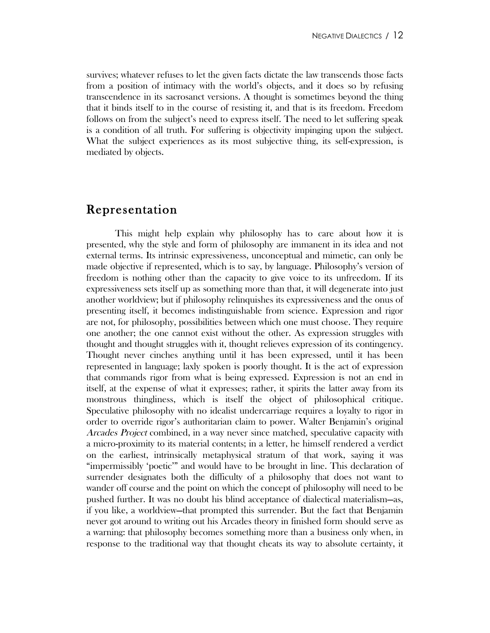survives; whatever refuses to let the given facts dictate the law transcends those facts from a position of intimacy with the world's objects, and it does so by refusing transcendence in its sacrosanct versions. A thought is sometimes beyond the thing that it binds itself to in the course of resisting it, and that is its freedom. Freedom follows on from the subject's need to express itself. The need to let suffering speak is a condition of all truth. For suffering is objectivity impinging upon the subject. What the subject experiences as its most subjective thing, its self-expression, is mediated by objects.

## Representation

This might help explain why philosophy has to care about how it is presented, why the style and form of philosophy are immanent in its idea and not external terms. Its intrinsic expressiveness, unconceptual and mimetic, can only be made objective if represented, which is to say, by language. Philosophy's version of freedom is nothing other than the capacity to give voice to its unfreedom. If its expressiveness sets itself up as something more than that, it will degenerate into just another worldview; but if philosophy relinquishes its expressiveness and the onus of presenting itself, it becomes indistinguishable from science. Expression and rigor are not, for philosophy, possibilities between which one must choose. They require one another; the one cannot exist without the other. As expression struggles with thought and thought struggles with it, thought relieves expression of its contingency. Thought never cinches anything until it has been expressed, until it has been represented in language; laxly spoken is poorly thought. It is the act of expression that commands rigor from what is being expressed. Expression is not an end in itself, at the expense of what it expresses; rather, it spirits the latter away from its monstrous thingliness, which is itself the object of philosophical critique. Speculative philosophy with no idealist undercarriage requires a loyalty to rigor in order to override rigor's authoritarian claim to power. Walter Benjamin's original Arcades Project combined, in a way never since matched, speculative capacity with a micro-proximity to its material contents; in a letter, he himself rendered a verdict on the earliest, intrinsically metaphysical stratum of that work, saying it was "impermissibly 'poetic'" and would have to be brought in line. This declaration of surrender designates both the difficulty of a philosophy that does not want to wander off course and the point on which the concept of philosophy will need to be pushed further. It was no doubt his blind acceptance of dialectical materialism—as, if you like, a worldview—that prompted this surrender. But the fact that Benjamin never got around to writing out his Arcades theory in finished form should serve as a warning: that philosophy becomes something more than a business only when, in response to the traditional way that thought cheats its way to absolute certainty, it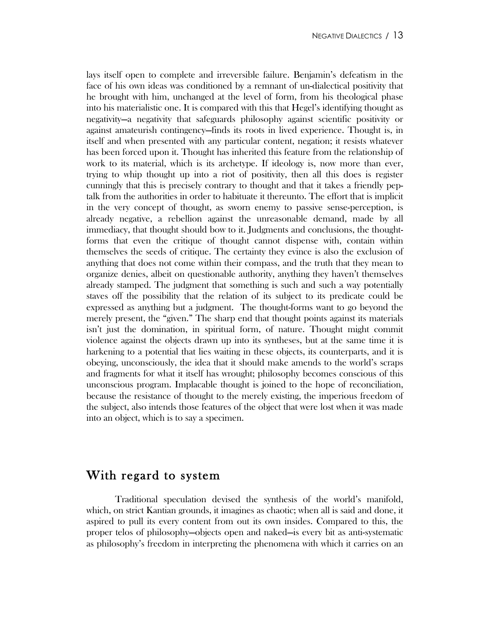lays itself open to complete and irreversible failure. Benjamin's defeatism in the face of his own ideas was conditioned by a remnant of un-dialectical positivity that he brought with him, unchanged at the level of form, from his theological phase into his materialistic one. It is compared with this that Hegel's identifying thought as negativity—a negativity that safeguards philosophy against scientific positivity or against amateurish contingency—finds its roots in lived experience. Thought is, in itself and when presented with any particular content, negation; it resists whatever has been forced upon it. Thought has inherited this feature from the relationship of work to its material, which is its archetype. If ideology is, now more than ever, trying to whip thought up into a riot of positivity, then all this does is register cunningly that this is precisely contrary to thought and that it takes a friendly peptalk from the authorities in order to habituate it thereunto. The effort that is implicit in the very concept of thought, as sworn enemy to passive sense-perception, is already negative, a rebellion against the unreasonable demand, made by all immediacy, that thought should bow to it. Judgments and conclusions, the thoughtforms that even the critique of thought cannot dispense with, contain within themselves the seeds of critique. The certainty they evince is also the exclusion of anything that does not come within their compass, and the truth that they mean to organize denies, albeit on questionable authority, anything they haven't themselves already stamped. The judgment that something is such and such a way potentially staves off the possibility that the relation of its subject to its predicate could be expressed as anything but a judgment. The thought-forms want to go beyond the merely present, the "given." The sharp end that thought points against its materials isn't just the domination, in spiritual form, of nature. Thought might commit violence against the objects drawn up into its syntheses, but at the same time it is harkening to a potential that lies waiting in these objects, its counterparts, and it is obeying, unconsciously, the idea that it should make amends to the world's scraps and fragments for what it itself has wrought; philosophy becomes conscious of this unconscious program. Implacable thought is joined to the hope of reconciliation, because the resistance of thought to the merely existing, the imperious freedom of the subject, also intends those features of the object that were lost when it was made into an object, which is to say a specimen.

#### With regard to system

Traditional speculation devised the synthesis of the world's manifold, which, on strict Kantian grounds, it imagines as chaotic; when all is said and done, it aspired to pull its every content from out its own insides. Compared to this, the proper telos of philosophy—objects open and naked—is every bit as anti-systematic as philosophy's freedom in interpreting the phenomena with which it carries on an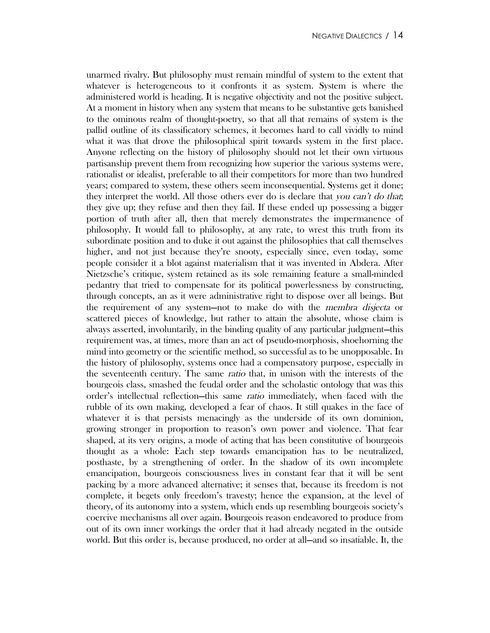unarmed rivalry. But philosophy must remain mindful of system to the extent that whatever is heterogeneous to it confronts it as system. System is where the administered world is heading. It is negative objectivity and not the positive subject. At a moment in history when any system that means to be substantive gets banished to the ominous realm of thought-poetry, so that all that remains of system is the pallid outline of its classificatory schemes, it becomes hard to call vividly to mind what it was that drove the philosophical spirit towards system in the first place. Anyone reflecting on the history of philosophy should not let their own virtuous partisanship prevent them from recognizing how superior the various systems were, rationalist or idealist, preferable to all their competitors for more than two hundred years; compared to system, these others seem inconsequential. Systems get it done; they interpret the world. All those others ever do is declare that you can't do that; they give up; they refuse and then they fail. If these ended up possessing a bigger portion of truth after all, then that merely demonstrates the impermanence of philosophy. It would fall to philosophy, at any rate, to wrest this truth from its subordinate position and to duke it out against the philosophies that call themselves higher, and not just because they're snooty, especially since, even today, some people consider it a blot against materialism that it was invented in Abdera. After Nietzsche's critique, system retained as its sole remaining feature a small-minded pedantry that tried to compensate for its political powerlessness by constructing, through concepts, an as it were administrative right to dispose over all beings. But the requirement of any system—not to make do with the membra disjecta or scattered pieces of knowledge, but rather to attain the absolute, whose claim is always asserted, involuntarily, in the binding quality of any particular judgment—this requirement was, at times, more than an act of pseudo-morphosis, shoehorning the mind into geometry or the scientific method, so successful as to be unopposable. In the history of philosophy, systems once had a compensatory purpose, especially in the seventeenth century. The same ratio that, in unison with the interests of the bourgeois class, smashed the feudal order and the scholastic ontology that was this order's intellectual reflection—this same ratio immediately, when faced with the rubble of its own making, developed a fear of chaos. It still quakes in the face of whatever it is that persists menacingly as the underside of its own dominion, growing stronger in proportion to reason's own power and violence. That fear shaped, at its very origins, a mode of acting that has been constitutive of bourgeois thought as a whole: Each step towards emancipation has to be neutralized, posthaste, by a strengthening of order. In the shadow of its own incomplete emancipation, bourgeois consciousness lives in constant fear that it will be sent packing by a more advanced alternative; it senses that, because its freedom is not complete, it begets only freedom's travesty; hence the expansion, at the level of theory, of its autonomy into a system, which ends up resembling bourgeois society's coercive mechanisms all over again. Bourgeois reason endeavored to produce from out of its own inner workings the order that it had already negated in the outside world. But this order is, because produced, no order at all—and so insatiable. It, the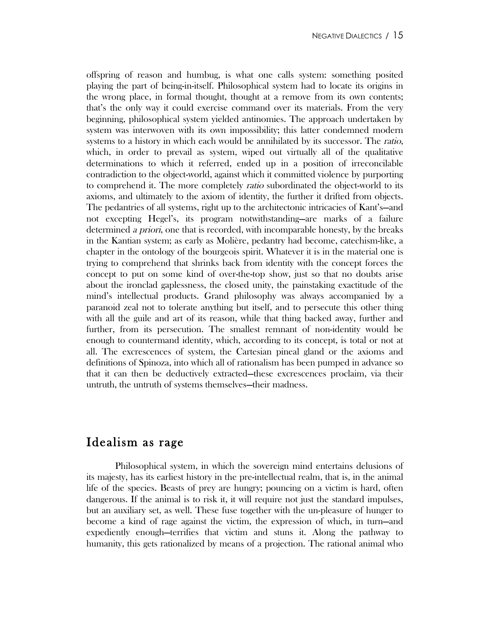offspring of reason and humbug, is what one calls system: something posited playing the part of being-in-itself. Philosophical system had to locate its origins in the wrong place, in formal thought, thought at a remove from its own contents; that's the only way it could exercise command over its materials. From the very beginning, philosophical system yielded antinomies. The approach undertaken by system was interwoven with its own impossibility; this latter condemned modern systems to a history in which each would be annihilated by its successor. The *ratio*, which, in order to prevail as system, wiped out virtually all of the qualitative determinations to which it referred, ended up in a position of irreconcilable contradiction to the object-world, against which it committed violence by purporting to comprehend it. The more completely *ratio* subordinated the object-world to its axioms, and ultimately to the axiom of identity, the further it drifted from objects. The pedantries of all systems, right up to the architectonic intricacies of Kant's—and not excepting Hegel's, its program notwithstanding—are marks of a failure determined a priori, one that is recorded, with incomparable honesty, by the breaks in the Kantian system; as early as Molière, pedantry had become, catechism-like, a chapter in the ontology of the bourgeois spirit. Whatever it is in the material one is trying to comprehend that shrinks back from identity with the concept forces the concept to put on some kind of over-the-top show, just so that no doubts arise about the ironclad gaplessness, the closed unity, the painstaking exactitude of the mind's intellectual products. Grand philosophy was always accompanied by a paranoid zeal not to tolerate anything but itself, and to persecute this other thing with all the guile and art of its reason, while that thing backed away, further and further, from its persecution. The smallest remnant of non-identity would be enough to countermand identity, which, according to its concept, is total or not at all. The excrescences of system, the Cartesian pineal gland or the axioms and definitions of Spinoza, into which all of rationalism has been pumped in advance so that it can then be deductively extracted—these excrescences proclaim, via their untruth, the untruth of systems themselves—their madness.

# Idealism as rage

Philosophical system, in which the sovereign mind entertains delusions of its majesty, has its earliest history in the pre-intellectual realm, that is, in the animal life of the species. Beasts of prey are hungry; pouncing on a victim is hard, often dangerous. If the animal is to risk it, it will require not just the standard impulses, but an auxiliary set, as well. These fuse together with the un-pleasure of hunger to become a kind of rage against the victim, the expression of which, in turn—and expediently enough—terrifies that victim and stuns it. Along the pathway to humanity, this gets rationalized by means of a projection. The rational animal who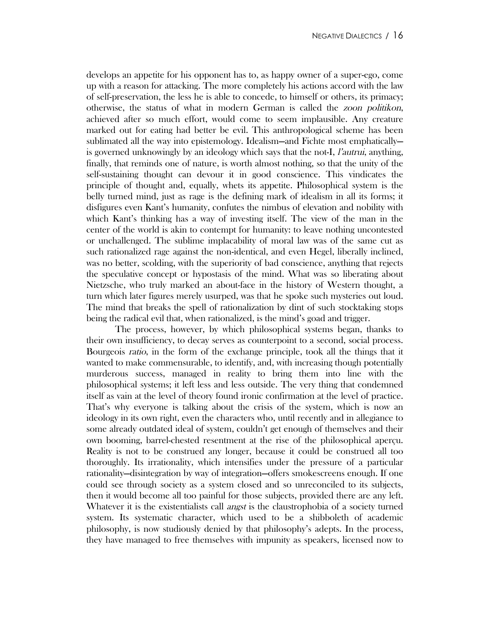develops an appetite for his opponent has to, as happy owner of a super-ego, come up with a reason for attacking. The more completely his actions accord with the law of self-preservation, the less he is able to concede, to himself or others, its primacy; otherwise, the status of what in modern German is called the zoon politikon, achieved after so much effort, would come to seem implausible. Any creature marked out for eating had better be evil. This anthropological scheme has been sublimated all the way into epistemology. Idealism—and Fichte most emphatically is governed unknowingly by an ideology which says that the not-I, *l'autrui*, anything, finally, that reminds one of nature, is worth almost nothing, so that the unity of the self-sustaining thought can devour it in good conscience. This vindicates the principle of thought and, equally, whets its appetite. Philosophical system is the belly turned mind, just as rage is the defining mark of idealism in all its forms; it disfigures even Kant's humanity, confutes the nimbus of elevation and nobility with which Kant's thinking has a way of investing itself. The view of the man in the center of the world is akin to contempt for humanity: to leave nothing uncontested or unchallenged. The sublime implacability of moral law was of the same cut as such rationalized rage against the non-identical, and even Hegel, liberally inclined, was no better, scolding, with the superiority of bad conscience, anything that rejects the speculative concept or hypostasis of the mind. What was so liberating about Nietzsche, who truly marked an about-face in the history of Western thought, a turn which later figures merely usurped, was that he spoke such mysteries out loud. The mind that breaks the spell of rationalization by dint of such stocktaking stops being the radical evil that, when rationalized, is the mind's goad and trigger.

The process, however, by which philosophical systems began, thanks to their own insufficiency, to decay serves as counterpoint to a second, social process. Bourgeois ratio, in the form of the exchange principle, took all the things that it wanted to make commensurable, to identify, and, with increasing though potentially murderous success, managed in reality to bring them into line with the philosophical systems; it left less and less outside. The very thing that condemned itself as vain at the level of theory found ironic confirmation at the level of practice. That's why everyone is talking about the crisis of the system, which is now an ideology in its own right, even the characters who, until recently and in allegiance to some already outdated ideal of system, couldn't get enough of themselves and their own booming, barrel-chested resentment at the rise of the philosophical aperçu. Reality is not to be construed any longer, because it could be construed all too thoroughly. Its irrationality, which intensifies under the pressure of a particular rationality—disintegration by way of integration—offers smokescreens enough. If one could see through society as a system closed and so unreconciled to its subjects, then it would become all too painful for those subjects, provided there are any left. Whatever it is the existentialists call *angst* is the claustrophobia of a society turned system. Its systematic character, which used to be a shibboleth of academic philosophy, is now studiously denied by that philosophy's adepts. In the process, they have managed to free themselves with impunity as speakers, licensed now to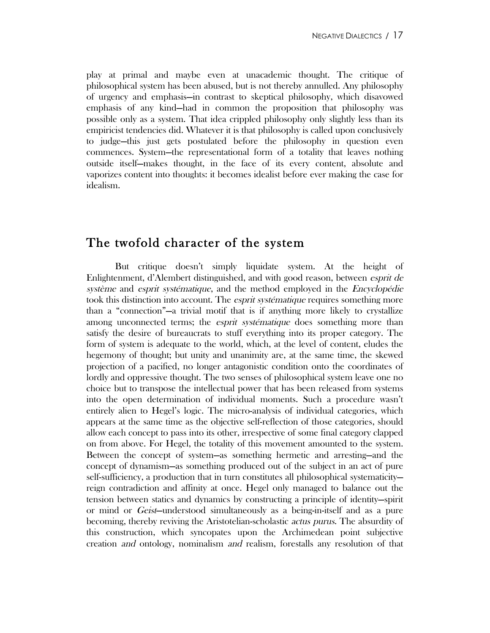play at primal and maybe even at unacademic thought. The critique of philosophical system has been abused, but is not thereby annulled. Any philosophy of urgency and emphasis—in contrast to skeptical philosophy, which disavowed emphasis of any kind—had in common the proposition that philosophy was possible only as a system. That idea crippled philosophy only slightly less than its empiricist tendencies did. Whatever it is that philosophy is called upon conclusively to judge—this just gets postulated before the philosophy in question even commences. System—the representational form of a totality that leaves nothing outside itself—makes thought, in the face of its every content, absolute and vaporizes content into thoughts: it becomes idealist before ever making the case for idealism.

## The twofold character of the system

But critique doesn't simply liquidate system. At the height of Enlightenment, d'Alembert distinguished, and with good reason, between esprit de système and esprit systématique, and the method employed in the Encyclopédie took this distinction into account. The *esprit systématique* requires something more than a "connection"—a trivial motif that is if anything more likely to crystallize among unconnected terms; the *esprit systématique* does something more than satisfy the desire of bureaucrats to stuff everything into its proper category. The form of system is adequate to the world, which, at the level of content, eludes the hegemony of thought; but unity and unanimity are, at the same time, the skewed projection of a pacified, no longer antagonistic condition onto the coordinates of lordly and oppressive thought. The two senses of philosophical system leave one no choice but to transpose the intellectual power that has been released from systems into the open determination of individual moments. Such a procedure wasn't entirely alien to Hegel's logic. The micro-analysis of individual categories, which appears at the same time as the objective self-reflection of those categories, should allow each concept to pass into its other, irrespective of some final category clapped on from above. For Hegel, the totality of this movement amounted to the system. Between the concept of system—as something hermetic and arresting—and the concept of dynamism—as something produced out of the subject in an act of pure self-sufficiency, a production that in turn constitutes all philosophical systematicity reign contradiction and affinity at once. Hegel only managed to balance out the tension between statics and dynamics by constructing a principle of identity—spirit or mind or Geist—understood simultaneously as a being-in-itself and as a pure becoming, thereby reviving the Aristotelian-scholastic actus purus. The absurdity of this construction, which syncopates upon the Archimedean point subjective creation and ontology, nominalism and realism, forestalls any resolution of that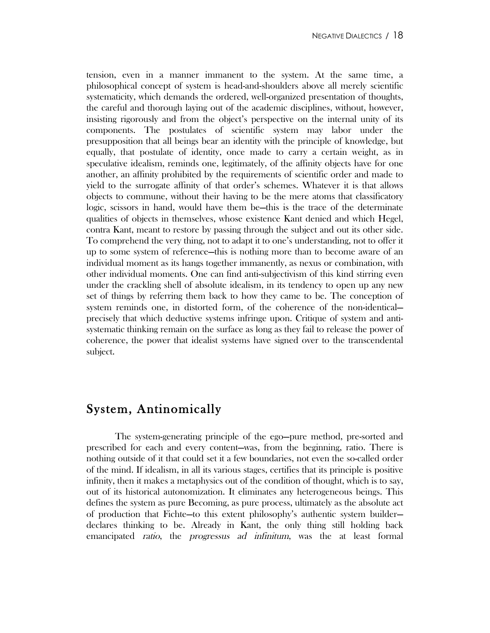tension, even in a manner immanent to the system. At the same time, a philosophical concept of system is head-and-shoulders above all merely scientific systematicity, which demands the ordered, well-organized presentation of thoughts, the careful and thorough laying out of the academic disciplines, without, however, insisting rigorously and from the object's perspective on the internal unity of its components. The postulates of scientific system may labor under the presupposition that all beings bear an identity with the principle of knowledge, but equally, that postulate of identity, once made to carry a certain weight, as in speculative idealism, reminds one, legitimately, of the affinity objects have for one another, an affinity prohibited by the requirements of scientific order and made to yield to the surrogate affinity of that order's schemes. Whatever it is that allows objects to commune, without their having to be the mere atoms that classificatory logic, scissors in hand, would have them be—this is the trace of the determinate qualities of objects in themselves, whose existence Kant denied and which Hegel, contra Kant, meant to restore by passing through the subject and out its other side. To comprehend the very thing, not to adapt it to one's understanding, not to offer it up to some system of reference—this is nothing more than to become aware of an individual moment as its hangs together immanently, as nexus or combination, with other individual moments. One can find anti-subjectivism of this kind stirring even under the crackling shell of absolute idealism, in its tendency to open up any new set of things by referring them back to how they came to be. The conception of system reminds one, in distorted form, of the coherence of the non-identical precisely that which deductive systems infringe upon. Critique of system and antisystematic thinking remain on the surface as long as they fail to release the power of coherence, the power that idealist systems have signed over to the transcendental subject.

# System, Antinomically

The system-generating principle of the ego—pure method, pre-sorted and prescribed for each and every content—was, from the beginning, ratio. There is nothing outside of it that could set it a few boundaries, not even the so-called order of the mind. If idealism, in all its various stages, certifies that its principle is positive infinity, then it makes a metaphysics out of the condition of thought, which is to say, out of its historical autonomization. It eliminates any heterogeneous beings. This defines the system as pure Becoming, as pure process, ultimately as the absolute act of production that Fichte—to this extent philosophy's authentic system builder declares thinking to be. Already in Kant, the only thing still holding back emancipated ratio, the progressus ad infinitum, was the at least formal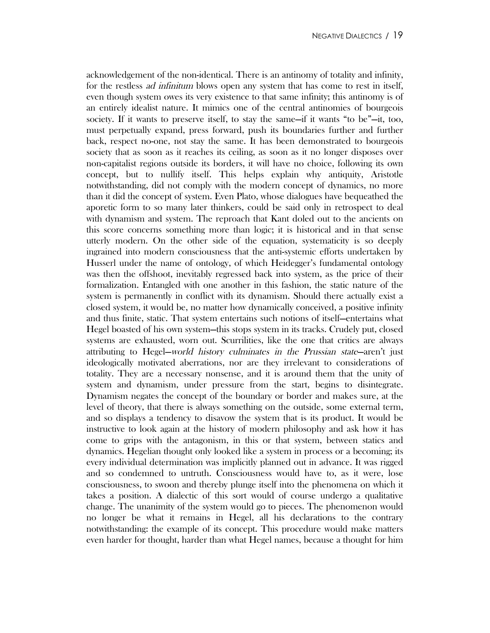acknowledgement of the non-identical. There is an antinomy of totality and infinity, for the restless *ad infinitum* blows open any system that has come to rest in itself, even though system owes its very existence to that same infinity; this antinomy is of an entirely idealist nature. It mimics one of the central antinomies of bourgeois society. If it wants to preserve itself, to stay the same—if it wants "to be"—it, too, must perpetually expand, press forward, push its boundaries further and further back, respect no-one, not stay the same. It has been demonstrated to bourgeois society that as soon as it reaches its ceiling, as soon as it no longer disposes over non-capitalist regions outside its borders, it will have no choice, following its own concept, but to nullify itself. This helps explain why antiquity, Aristotle notwithstanding, did not comply with the modern concept of dynamics, no more than it did the concept of system. Even Plato, whose dialogues have bequeathed the aporetic form to so many later thinkers, could be said only in retrospect to deal with dynamism and system. The reproach that Kant doled out to the ancients on this score concerns something more than logic; it is historical and in that sense utterly modern. On the other side of the equation, systematicity is so deeply ingrained into modern consciousness that the anti-systemic efforts undertaken by Husserl under the name of ontology, of which Heidegger's fundamental ontology was then the offshoot, inevitably regressed back into system, as the price of their formalization. Entangled with one another in this fashion, the static nature of the system is permanently in conflict with its dynamism. Should there actually exist a closed system, it would be, no matter how dynamically conceived, a positive infinity and thus finite, static. That system entertains such notions of itself—entertains what Hegel boasted of his own system—this stops system in its tracks. Crudely put, closed systems are exhausted, worn out. Scurrilities, like the one that critics are always attributing to Hegel—world history culminates in the Prussian state—aren't just ideologically motivated aberrations, nor are they irrelevant to considerations of totality. They are a necessary nonsense, and it is around them that the unity of system and dynamism, under pressure from the start, begins to disintegrate. Dynamism negates the concept of the boundary or border and makes sure, at the level of theory, that there is always something on the outside, some external term, and so displays a tendency to disavow the system that is its product. It would be instructive to look again at the history of modern philosophy and ask how it has come to grips with the antagonism, in this or that system, between statics and dynamics. Hegelian thought only looked like a system in process or a becoming; its every individual determination was implicitly planned out in advance. It was rigged and so condemned to untruth. Consciousness would have to, as it were, lose consciousness, to swoon and thereby plunge itself into the phenomena on which it takes a position. A dialectic of this sort would of course undergo a qualitative change. The unanimity of the system would go to pieces. The phenomenon would no longer be what it remains in Hegel, all his declarations to the contrary notwithstanding: the example of its concept. This procedure would make matters even harder for thought, harder than what Hegel names, because a thought for him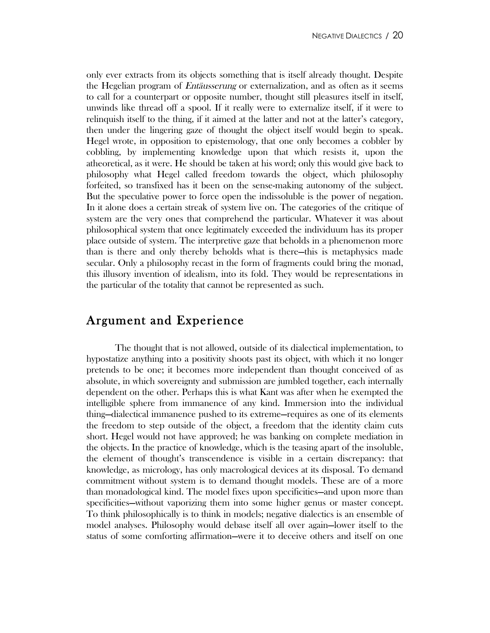only ever extracts from its objects something that is itself already thought. Despite the Hegelian program of Entäusserung or externalization, and as often as it seems to call for a counterpart or opposite number, thought still pleasures itself in itself, unwinds like thread off a spool. If it really were to externalize itself, if it were to relinquish itself to the thing, if it aimed at the latter and not at the latter's category, then under the lingering gaze of thought the object itself would begin to speak. Hegel wrote, in opposition to epistemology, that one only becomes a cobbler by cobbling, by implementing knowledge upon that which resists it, upon the atheoretical, as it were. He should be taken at his word; only this would give back to philosophy what Hegel called freedom towards the object, which philosophy forfeited, so transfixed has it been on the sense-making autonomy of the subject. But the speculative power to force open the indissoluble is the power of negation. In it alone does a certain streak of system live on. The categories of the critique of system are the very ones that comprehend the particular. Whatever it was about philosophical system that once legitimately exceeded the individuum has its proper place outside of system. The interpretive gaze that beholds in a phenomenon more than is there and only thereby beholds what is there—this is metaphysics made secular. Only a philosophy recast in the form of fragments could bring the monad, this illusory invention of idealism, into its fold. They would be representations in the particular of the totality that cannot be represented as such.

## Argument and Experience

The thought that is not allowed, outside of its dialectical implementation, to hypostatize anything into a positivity shoots past its object, with which it no longer pretends to be one; it becomes more independent than thought conceived of as absolute, in which sovereignty and submission are jumbled together, each internally dependent on the other. Perhaps this is what Kant was after when he exempted the intelligible sphere from immanence of any kind. Immersion into the individual thing—dialectical immanence pushed to its extreme—requires as one of its elements the freedom to step outside of the object, a freedom that the identity claim cuts short. Hegel would not have approved; he was banking on complete mediation in the objects. In the practice of knowledge, which is the teasing apart of the insoluble, the element of thought's transcendence is visible in a certain discrepancy: that knowledge, as micrology, has only macrological devices at its disposal. To demand commitment without system is to demand thought models. These are of a more than monadological kind. The model fixes upon specificities—and upon more than specificities—without vaporizing them into some higher genus or master concept. To think philosophically is to think in models; negative dialectics is an ensemble of model analyses. Philosophy would debase itself all over again—lower itself to the status of some comforting affirmation—were it to deceive others and itself on one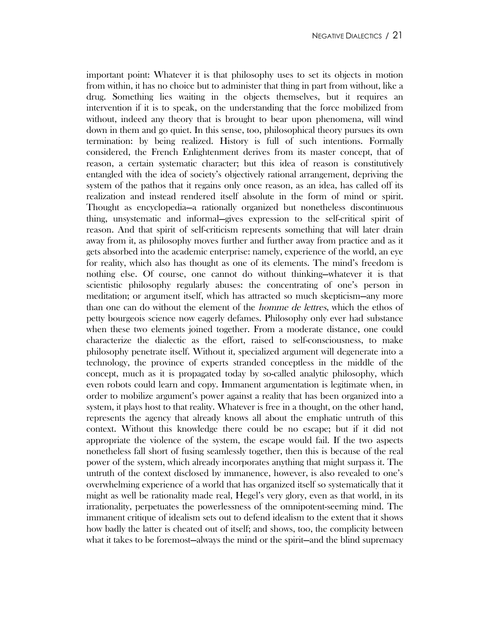important point: Whatever it is that philosophy uses to set its objects in motion from within, it has no choice but to administer that thing in part from without, like a drug. Something lies waiting in the objects themselves, but it requires an intervention if it is to speak, on the understanding that the force mobilized from without, indeed any theory that is brought to bear upon phenomena, will wind down in them and go quiet. In this sense, too, philosophical theory pursues its own termination: by being realized. History is full of such intentions. Formally considered, the French Enlightenment derives from its master concept, that of reason, a certain systematic character; but this idea of reason is constitutively entangled with the idea of society's objectively rational arrangement, depriving the system of the pathos that it regains only once reason, as an idea, has called off its realization and instead rendered itself absolute in the form of mind or spirit. Thought as encyclopedia—a rationally organized but nonetheless discontinuous thing, unsystematic and informal—gives expression to the self-critical spirit of reason. And that spirit of self-criticism represents something that will later drain away from it, as philosophy moves further and further away from practice and as it gets absorbed into the academic enterprise: namely, experience of the world, an eye for reality, which also has thought as one of its elements. The mind's freedom is nothing else. Of course, one cannot do without thinking—whatever it is that scientistic philosophy regularly abuses: the concentrating of one's person in meditation; or argument itself, which has attracted so much skepticism—any more than one can do without the element of the homme de lettres, which the ethos of petty bourgeois science now eagerly defames. Philosophy only ever had substance when these two elements joined together. From a moderate distance, one could characterize the dialectic as the effort, raised to self-consciousness, to make philosophy penetrate itself. Without it, specialized argument will degenerate into a technology, the province of experts stranded conceptless in the middle of the concept, much as it is propagated today by so-called analytic philosophy, which even robots could learn and copy. Immanent argumentation is legitimate when, in order to mobilize argument's power against a reality that has been organized into a system, it plays host to that reality. Whatever is free in a thought, on the other hand, represents the agency that already knows all about the emphatic untruth of this context. Without this knowledge there could be no escape; but if it did not appropriate the violence of the system, the escape would fail. If the two aspects nonetheless fall short of fusing seamlessly together, then this is because of the real power of the system, which already incorporates anything that might surpass it. The untruth of the context disclosed by immanence, however, is also revealed to one's overwhelming experience of a world that has organized itself so systematically that it might as well be rationality made real, Hegel's very glory, even as that world, in its irrationality, perpetuates the powerlessness of the omnipotent-seeming mind. The immanent critique of idealism sets out to defend idealism to the extent that it shows how badly the latter is cheated out of itself; and shows, too, the complicity between what it takes to be foremost—always the mind or the spirit—and the blind supremacy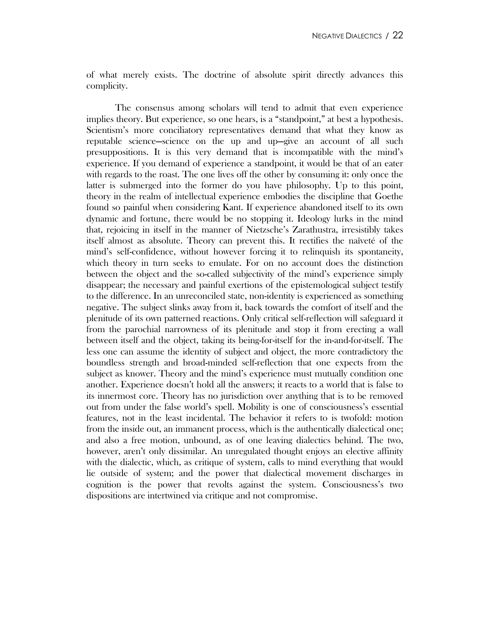of what merely exists. The doctrine of absolute spirit directly advances this complicity.

The consensus among scholars will tend to admit that even experience implies theory. But experience, so one hears, is a "standpoint," at best a hypothesis. Scientism's more conciliatory representatives demand that what they know as reputable science—science on the up and up—give an account of all such presuppositions. It is this very demand that is incompatible with the mind's experience. If you demand of experience a standpoint, it would be that of an eater with regards to the roast. The one lives off the other by consuming it: only once the latter is submerged into the former do you have philosophy. Up to this point, theory in the realm of intellectual experience embodies the discipline that Goethe found so painful when considering Kant. If experience abandoned itself to its own dynamic and fortune, there would be no stopping it. Ideology lurks in the mind that, rejoicing in itself in the manner of Nietzsche's Zarathustra, irresistibly takes itself almost as absolute. Theory can prevent this. It rectifies the naïveté of the mind's self-confidence, without however forcing it to relinquish its spontaneity, which theory in turn seeks to emulate. For on no account does the distinction between the object and the so-called subjectivity of the mind's experience simply disappear; the necessary and painful exertions of the epistemological subject testify to the difference. In an unreconciled state, non-identity is experienced as something negative. The subject slinks away from it, back towards the comfort of itself and the plenitude of its own patterned reactions. Only critical self-reflection will safeguard it from the parochial narrowness of its plenitude and stop it from erecting a wall between itself and the object, taking its being-for-itself for the in-and-for-itself. The less one can assume the identity of subject and object, the more contradictory the boundless strength and broad-minded self-reflection that one expects from the subject as knower. Theory and the mind's experience must mutually condition one another. Experience doesn't hold all the answers; it reacts to a world that is false to its innermost core. Theory has no jurisdiction over anything that is to be removed out from under the false world's spell. Mobility is one of consciousness's essential features, not in the least incidental. The behavior it refers to is twofold: motion from the inside out, an immanent process, which is the authentically dialectical one; and also a free motion, unbound, as of one leaving dialectics behind. The two, however, aren't only dissimilar. An unregulated thought enjoys an elective affinity with the dialectic, which, as critique of system, calls to mind everything that would lie outside of system; and the power that dialectical movement discharges in cognition is the power that revolts against the system. Consciousness's two dispositions are intertwined via critique and not compromise.